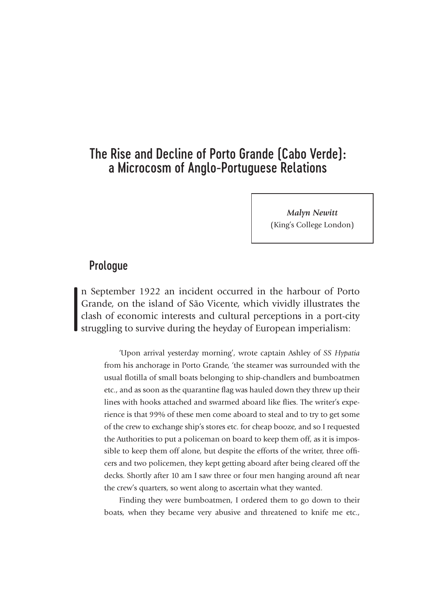# The Rise and Decline of Porto Grande (Cabo Verde): a Microcosm of Anglo-Portuguese Relations

*Malyn Newitt* (King's College London)

## Prologue

I n September 1922 an incident occurred in the harbour of Porto Grande, on the island of São Vicente, which vividly illustrates the clash of economic interests and cultural perceptions in a port-city struggling to survive during the heyday of European imperialism:

> 'Upon arrival yesterday morning', wrote captain Ashley of *SS Hypatia* from his anchorage in Porto Grande, 'the steamer was surrounded with the usual flotilla of small boats belonging to ship-chandlers and bumboatmen etc., and as soon as the quarantine flag was hauled down they threw up their lines with hooks attached and swarmed aboard like flies. The writer's experience is that 99% of these men come aboard to steal and to try to get some of the crew to exchange ship's stores etc. for cheap booze, and so I requested the Authorities to put a policeman on board to keep them off, as it is impossible to keep them off alone, but despite the efforts of the writer, three officers and two policemen, they kept getting aboard after being cleared off the decks. Shortly after 10 am I saw three or four men hanging around aft near the crew's quarters, so went along to ascertain what they wanted.

> Finding they were bumboatmen, I ordered them to go down to their boats, when they became very abusive and threatened to knife me etc.,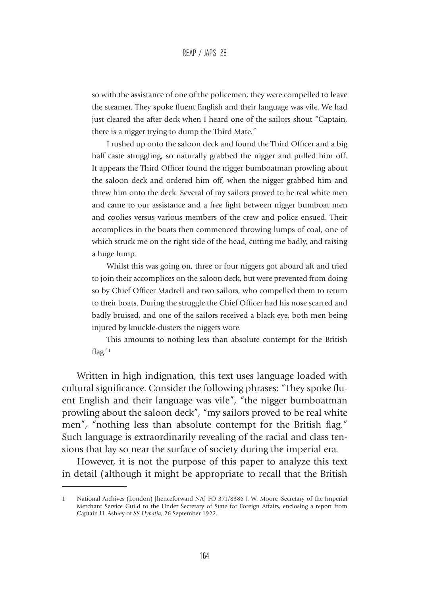so with the assistance of one of the policemen, they were compelled to leave the steamer. They spoke fluent English and their language was vile. We had just cleared the after deck when I heard one of the sailors shout "Captain, there is a nigger trying to dump the Third Mate."

I rushed up onto the saloon deck and found the Third Officer and a big half caste struggling, so naturally grabbed the nigger and pulled him off. It appears the Third Officer found the nigger bumboatman prowling about the saloon deck and ordered him off, when the nigger grabbed him and threw him onto the deck. Several of my sailors proved to be real white men and came to our assistance and a free fight between nigger bumboat men and coolies versus various members of the crew and police ensued. Their accomplices in the boats then commenced throwing lumps of coal, one of which struck me on the right side of the head, cutting me badly, and raising a huge lump.

Whilst this was going on, three or four niggers got aboard aft and tried to join their accomplices on the saloon deck, but were prevented from doing so by Chief Officer Madrell and two sailors, who compelled them to return to their boats. During the struggle the Chief Officer had his nose scarred and badly bruised, and one of the sailors received a black eye, both men being injured by knuckle-dusters the niggers wore.

This amounts to nothing less than absolute contempt for the British flag. $^{\prime}$ <sup>1</sup>

Written in high indignation, this text uses language loaded with cultural significance. Consider the following phrases: "They spoke fluent English and their language was vile", "the nigger bumboatman prowling about the saloon deck", "my sailors proved to be real white men", "nothing less than absolute contempt for the British flag." Such language is extraordinarily revealing of the racial and class tensions that lay so near the surface of society during the imperial era.

However, it is not the purpose of this paper to analyze this text in detail (although it might be appropriate to recall that the British

<sup>1</sup> National Archives (London) [henceforward NA] FO 371/8386 J. W. Moore, Secretary of the Imperial Merchant Service Guild to the Under Secretary of State for Foreign Affairs, enclosing a report from Captain H. Ashley of *SS Hypatia*, 26 September 1922.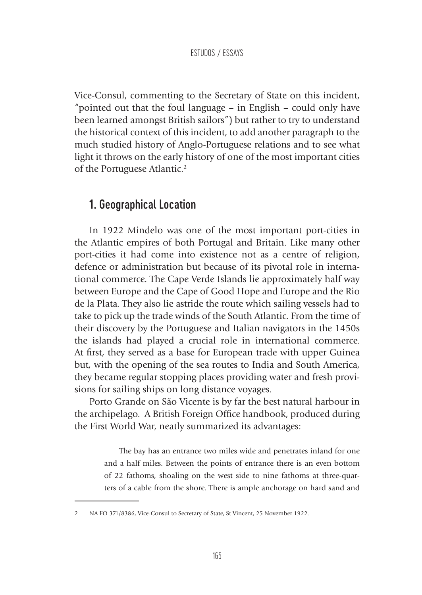Vice-Consul, commenting to the Secretary of State on this incident, "pointed out that the foul language – in English – could only have been learned amongst British sailors") but rather to try to understand the historical context of this incident, to add another paragraph to the much studied history of Anglo-Portuguese relations and to see what light it throws on the early history of one of the most important cities of the Portuguese Atlantic.<sup>2</sup>

# 1. Geographical Location

In 1922 Mindelo was one of the most important port-cities in the Atlantic empires of both Portugal and Britain. Like many other port-cities it had come into existence not as a centre of religion, defence or administration but because of its pivotal role in international commerce. The Cape Verde Islands lie approximately half way between Europe and the Cape of Good Hope and Europe and the Rio de la Plata. They also lie astride the route which sailing vessels had to take to pick up the trade winds of the South Atlantic. From the time of their discovery by the Portuguese and Italian navigators in the 1450s the islands had played a crucial role in international commerce. At first, they served as a base for European trade with upper Guinea but, with the opening of the sea routes to India and South America, they became regular stopping places providing water and fresh provisions for sailing ships on long distance voyages.

Porto Grande on São Vicente is by far the best natural harbour in the archipelago. A British Foreign Office handbook, produced during the First World War, neatly summarized its advantages:

> The bay has an entrance two miles wide and penetrates inland for one and a half miles. Between the points of entrance there is an even bottom of 22 fathoms, shoaling on the west side to nine fathoms at three-quarters of a cable from the shore. There is ample anchorage on hard sand and

<sup>2</sup> NA FO 371/8386, Vice-Consul to Secretary of State, St Vincent, 25 November 1922.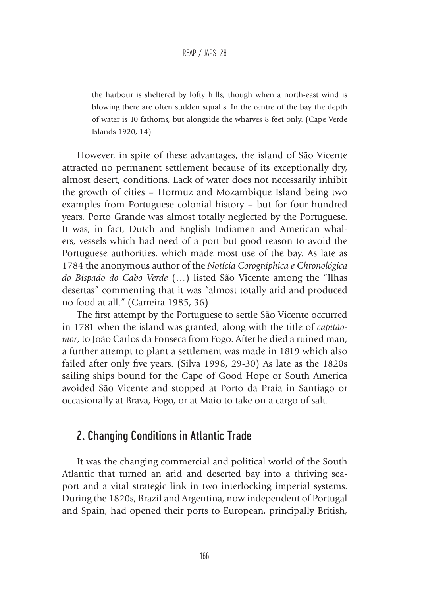the harbour is sheltered by lofty hills, though when a north-east wind is blowing there are often sudden squalls. In the centre of the bay the depth of water is 10 fathoms, but alongside the wharves 8 feet only. (Cape Verde Islands 1920, 14)

However, in spite of these advantages, the island of São Vicente attracted no permanent settlement because of its exceptionally dry, almost desert, conditions. Lack of water does not necessarily inhibit the growth of cities – Hormuz and Mozambique Island being two examples from Portuguese colonial history – but for four hundred years, Porto Grande was almost totally neglected by the Portuguese. It was, in fact, Dutch and English Indiamen and American whalers, vessels which had need of a port but good reason to avoid the Portuguese authorities, which made most use of the bay. As late as 1784 the anonymous author of the *Notícia Corográphica e Chronológica do Bispado do Cabo Verde* (…) listed São Vicente among the "Ilhas desertas" commenting that it was "almost totally arid and produced no food at all." (Carreira 1985, 36)

The first attempt by the Portuguese to settle São Vicente occurred in 1781 when the island was granted, along with the title of *capitãomor*, to João Carlos da Fonseca from Fogo. After he died a ruined man, a further attempt to plant a settlement was made in 1819 which also failed after only five years. (Silva 1998, 29-30) As late as the 1820s sailing ships bound for the Cape of Good Hope or South America avoided São Vicente and stopped at Porto da Praia in Santiago or occasionally at Brava, Fogo, or at Maio to take on a cargo of salt.

### 2. Changing Conditions in Atlantic Trade

It was the changing commercial and political world of the South Atlantic that turned an arid and deserted bay into a thriving seaport and a vital strategic link in two interlocking imperial systems. During the 1820s, Brazil and Argentina, now independent of Portugal and Spain, had opened their ports to European, principally British,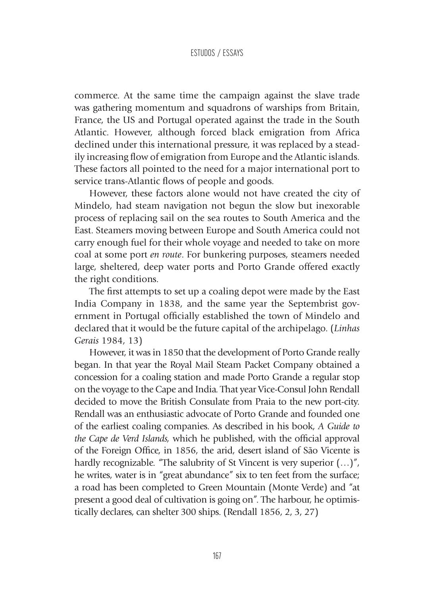commerce. At the same time the campaign against the slave trade was gathering momentum and squadrons of warships from Britain, France, the US and Portugal operated against the trade in the South Atlantic. However, although forced black emigration from Africa declined under this international pressure, it was replaced by a steadily increasing flow of emigration from Europe and the Atlantic islands. These factors all pointed to the need for a major international port to service trans-Atlantic flows of people and goods.

However, these factors alone would not have created the city of Mindelo, had steam navigation not begun the slow but inexorable process of replacing sail on the sea routes to South America and the East. Steamers moving between Europe and South America could not carry enough fuel for their whole voyage and needed to take on more coal at some port *en route*. For bunkering purposes, steamers needed large, sheltered, deep water ports and Porto Grande offered exactly the right conditions.

The first attempts to set up a coaling depot were made by the East India Company in 1838, and the same year the Septembrist government in Portugal officially established the town of Mindelo and declared that it would be the future capital of the archipelago. (*Linhas Gerais* 1984, 13)

However, it was in 1850 that the development of Porto Grande really began. In that year the Royal Mail Steam Packet Company obtained a concession for a coaling station and made Porto Grande a regular stop on the voyage to the Cape and India. That year Vice-Consul John Rendall decided to move the British Consulate from Praia to the new port-city. Rendall was an enthusiastic advocate of Porto Grande and founded one of the earliest coaling companies. As described in his book, *A Guide to the Cape de Verd Islands,* which he published, with the official approval of the Foreign Office, in 1856, the arid, desert island of São Vicente is hardly recognizable. "The salubrity of St Vincent is very superior  $(...)$ ", he writes, water is in "great abundance" six to ten feet from the surface; a road has been completed to Green Mountain (Monte Verde) and "at present a good deal of cultivation is going on". The harbour, he optimistically declares, can shelter 300 ships. (Rendall 1856, 2, 3, 27)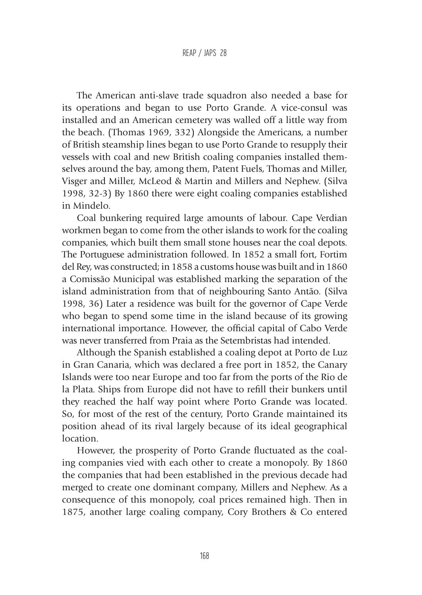The American anti-slave trade squadron also needed a base for its operations and began to use Porto Grande. A vice-consul was installed and an American cemetery was walled off a little way from the beach. (Thomas 1969, 332) Alongside the Americans, a number of British steamship lines began to use Porto Grande to resupply their vessels with coal and new British coaling companies installed themselves around the bay, among them, Patent Fuels, Thomas and Miller, Visger and Miller, McLeod & Martin and Millers and Nephew. (Silva 1998, 32-3) By 1860 there were eight coaling companies established in Mindelo.

Coal bunkering required large amounts of labour. Cape Verdian workmen began to come from the other islands to work for the coaling companies, which built them small stone houses near the coal depots. The Portuguese administration followed. In 1852 a small fort, Fortim del Rey, was constructed; in 1858 a customs house was built and in 1860 a Comissão Municipal was established marking the separation of the island administration from that of neighbouring Santo Antão. (Silva 1998, 36) Later a residence was built for the governor of Cape Verde who began to spend some time in the island because of its growing international importance. However, the official capital of Cabo Verde was never transferred from Praia as the Setembristas had intended.

Although the Spanish established a coaling depot at Porto de Luz in Gran Canaria, which was declared a free port in 1852, the Canary Islands were too near Europe and too far from the ports of the Rio de la Plata. Ships from Europe did not have to refill their bunkers until they reached the half way point where Porto Grande was located. So, for most of the rest of the century, Porto Grande maintained its position ahead of its rival largely because of its ideal geographical location.

However, the prosperity of Porto Grande fluctuated as the coaling companies vied with each other to create a monopoly. By 1860 the companies that had been established in the previous decade had merged to create one dominant company, Millers and Nephew. As a consequence of this monopoly, coal prices remained high. Then in 1875, another large coaling company, Cory Brothers & Co entered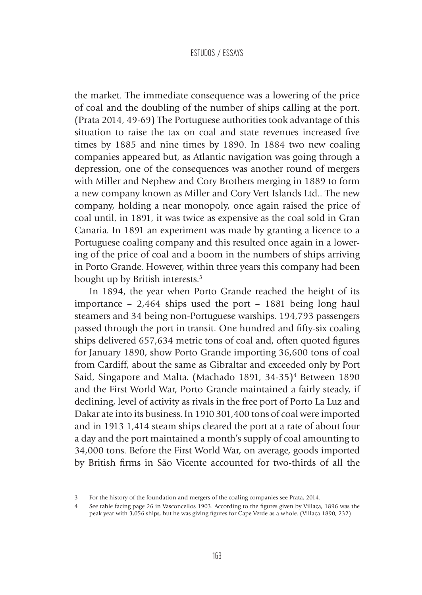the market. The immediate consequence was a lowering of the price of coal and the doubling of the number of ships calling at the port. (Prata 2014, 49-69) The Portuguese authorities took advantage of this situation to raise the tax on coal and state revenues increased five times by 1885 and nine times by 1890. In 1884 two new coaling companies appeared but, as Atlantic navigation was going through a depression, one of the consequences was another round of mergers with Miller and Nephew and Cory Brothers merging in 1889 to form a new company known as Miller and Cory Vert Islands Ltd.. The new company, holding a near monopoly, once again raised the price of coal until, in 1891, it was twice as expensive as the coal sold in Gran Canaria. In 1891 an experiment was made by granting a licence to a Portuguese coaling company and this resulted once again in a lowering of the price of coal and a boom in the numbers of ships arriving in Porto Grande. However, within three years this company had been bought up by British interests.<sup>3</sup>

In 1894, the year when Porto Grande reached the height of its importance – 2,464 ships used the port – 1881 being long haul steamers and 34 being non-Portuguese warships. 194,793 passengers passed through the port in transit. One hundred and fifty-six coaling ships delivered 657,634 metric tons of coal and, often quoted figures for January 1890, show Porto Grande importing 36,600 tons of coal from Cardiff, about the same as Gibraltar and exceeded only by Port Said, Singapore and Malta. (Machado 1891, 34-35)<sup>4</sup> Between 1890 and the First World War, Porto Grande maintained a fairly steady, if declining, level of activity as rivals in the free port of Porto La Luz and Dakar ate into its business. In 1910 301,400 tons of coal were imported and in 1913 1,414 steam ships cleared the port at a rate of about four a day and the port maintained a month's supply of coal amounting to 34,000 tons. Before the First World War, on average, goods imported by British firms in São Vicente accounted for two-thirds of all the

<sup>3</sup> For the history of the foundation and mergers of the coaling companies see Prata, 2014.

<sup>4</sup> See table facing page 26 in Vasconcellos 1903. According to the figures given by Villaça, 1896 was the peak year with 3,056 ships, but he was giving figures for Cape Verde as a whole. (Villaça 1890, 232)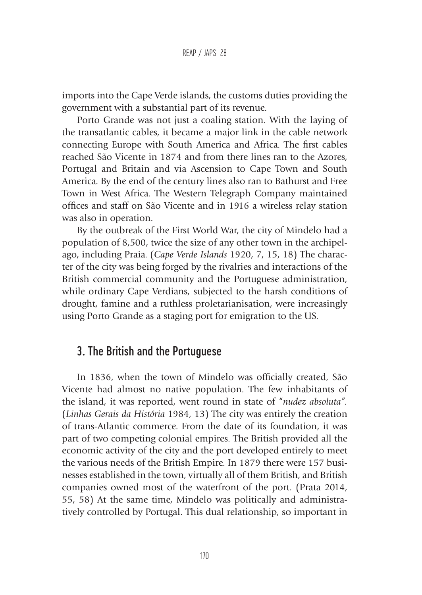imports into the Cape Verde islands, the customs duties providing the government with a substantial part of its revenue.

Porto Grande was not just a coaling station. With the laying of the transatlantic cables, it became a major link in the cable network connecting Europe with South America and Africa. The first cables reached São Vicente in 1874 and from there lines ran to the Azores, Portugal and Britain and via Ascension to Cape Town and South America. By the end of the century lines also ran to Bathurst and Free Town in West Africa. The Western Telegraph Company maintained offices and staff on São Vicente and in 1916 a wireless relay station was also in operation.

By the outbreak of the First World War, the city of Mindelo had a population of 8,500, twice the size of any other town in the archipelago, including Praia. (*Cape Verde Islands* 1920, 7, 15, 18) The character of the city was being forged by the rivalries and interactions of the British commercial community and the Portuguese administration, while ordinary Cape Verdians, subjected to the harsh conditions of drought, famine and a ruthless proletarianisation, were increasingly using Porto Grande as a staging port for emigration to the US.

### 3. The British and the Portuguese

In 1836, when the town of Mindelo was officially created, São Vicente had almost no native population. The few inhabitants of the island, it was reported, went round in state of "*nudez absoluta".* (*Linhas Gerais da História* 1984, 13) The city was entirely the creation of trans-Atlantic commerce. From the date of its foundation, it was part of two competing colonial empires. The British provided all the economic activity of the city and the port developed entirely to meet the various needs of the British Empire. In 1879 there were 157 businesses established in the town, virtually all of them British, and British companies owned most of the waterfront of the port. (Prata 2014, 55, 58) At the same time, Mindelo was politically and administratively controlled by Portugal. This dual relationship, so important in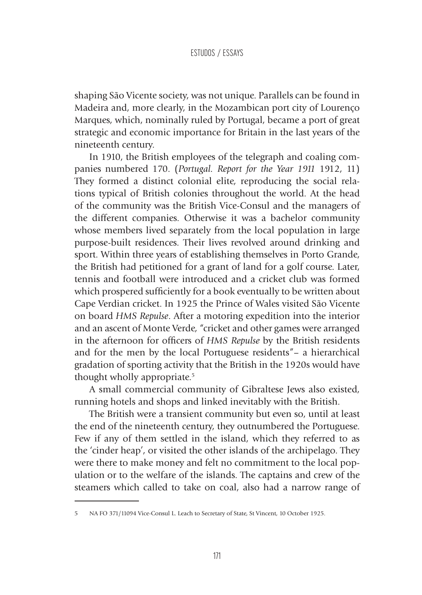shaping São Vicente society, was not unique. Parallels can be found in Madeira and, more clearly, in the Mozambican port city of Lourenço Marques, which, nominally ruled by Portugal, became a port of great strategic and economic importance for Britain in the last years of the nineteenth century.

In 1910, the British employees of the telegraph and coaling companies numbered 170. (*Portugal. Report for the Year 1911* 1912, 11) They formed a distinct colonial elite, reproducing the social relations typical of British colonies throughout the world. At the head of the community was the British Vice-Consul and the managers of the different companies. Otherwise it was a bachelor community whose members lived separately from the local population in large purpose-built residences. Their lives revolved around drinking and sport. Within three years of establishing themselves in Porto Grande, the British had petitioned for a grant of land for a golf course. Later, tennis and football were introduced and a cricket club was formed which prospered sufficiently for a book eventually to be written about Cape Verdian cricket. In 1925 the Prince of Wales visited São Vicente on board *HMS Repulse*. After a motoring expedition into the interior and an ascent of Monte Verde, "cricket and other games were arranged in the afternoon for officers of *HMS Repulse* by the British residents and for the men by the local Portuguese residents"– a hierarchical gradation of sporting activity that the British in the 1920s would have thought wholly appropriate.<sup>5</sup>

A small commercial community of Gibraltese Jews also existed, running hotels and shops and linked inevitably with the British.

The British were a transient community but even so, until at least the end of the nineteenth century, they outnumbered the Portuguese. Few if any of them settled in the island, which they referred to as the 'cinder heap', or visited the other islands of the archipelago. They were there to make money and felt no commitment to the local population or to the welfare of the islands. The captains and crew of the steamers which called to take on coal, also had a narrow range of

<sup>5</sup> NA FO 371/11094 Vice-Consul L. Leach to Secretary of State, St Vincent, 10 October 1925.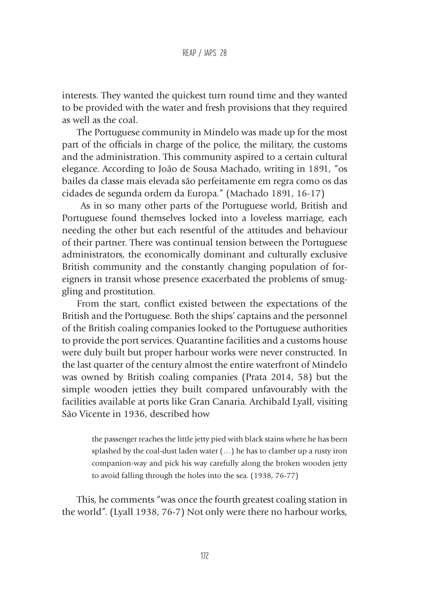interests. They wanted the quickest turn round time and they wanted to be provided with the water and fresh provisions that they required as well as the coal.

The Portuguese community in Mindelo was made up for the most part of the officials in charge of the police, the military, the customs and the administration. This community aspired to a certain cultural elegance. According to João de Sousa Machado, writing in 1891, "os bailes da classe mais elevada são perfeitamente em regra como os das cidades de segunda ordem da Europa." (Machado 1891, 16-17)

As in so many other parts of the Portuguese world, British and Portuguese found themselves locked into a loveless marriage, each needing the other but each resentful of the attitudes and behaviour of their partner. There was continual tension between the Portuguese administrators, the economically dominant and culturally exclusive British community and the constantly changing population of foreigners in transit whose presence exacerbated the problems of smuggling and prostitution.

From the start, conflict existed between the expectations of the British and the Portuguese. Both the ships' captains and the personnel of the British coaling companies looked to the Portuguese authorities to provide the port services. Quarantine facilities and a customs house were duly built but proper harbour works were never constructed. In the last quarter of the century almost the entire waterfront of Mindelo was owned by British coaling companies (Prata 2014, 58) but the simple wooden jetties they built compared unfavourably with the facilities available at ports like Gran Canaria. Archibald Lyall, visiting São Vicente in 1936, described how

> the passenger reaches the little jetty pied with black stains where he has been splashed by the coal-dust laden water (…) he has to clamber up a rusty iron companion-way and pick his way carefully along the broken wooden jetty to avoid falling through the holes into the sea. (1938, 76-77)

This, he comments "was once the fourth greatest coaling station in the world". (Lyall 1938, 76-7) Not only were there no harbour works,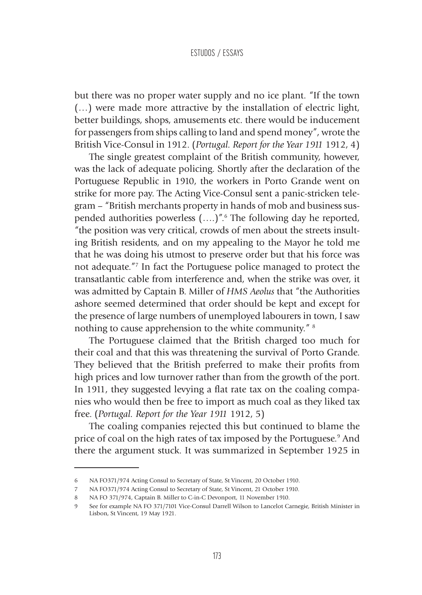but there was no proper water supply and no ice plant. "If the town (…) were made more attractive by the installation of electric light, better buildings, shops, amusements etc. there would be inducement for passengers from ships calling to land and spend money", wrote the British Vice-Consul in 1912. (*Portugal. Report for the Year 1911* 1912, 4)

The single greatest complaint of the British community, however, was the lack of adequate policing. Shortly after the declaration of the Portuguese Republic in 1910, the workers in Porto Grande went on strike for more pay. The Acting Vice-Consul sent a panic-stricken telegram – "British merchants property in hands of mob and business suspended authorities powerless (….)".6 The following day he reported, "the position was very critical, crowds of men about the streets insulting British residents, and on my appealing to the Mayor he told me that he was doing his utmost to preserve order but that his force was not adequate."7 In fact the Portuguese police managed to protect the transatlantic cable from interference and, when the strike was over, it was admitted by Captain B. Miller of *HMS Aeolus* that "the Authorities ashore seemed determined that order should be kept and except for the presence of large numbers of unemployed labourers in town, I saw nothing to cause apprehension to the white community." <sup>8</sup>

The Portuguese claimed that the British charged too much for their coal and that this was threatening the survival of Porto Grande. They believed that the British preferred to make their profits from high prices and low turnover rather than from the growth of the port. In 1911, they suggested levying a flat rate tax on the coaling companies who would then be free to import as much coal as they liked tax free. (*Portugal. Report for the Year 1911* 1912, 5)

The coaling companies rejected this but continued to blame the price of coal on the high rates of tax imposed by the Portuguese.<sup>9</sup> And there the argument stuck. It was summarized in September 1925 in

<sup>6</sup> NA FO371/974 Acting Consul to Secretary of State, St Vincent, 20 October 1910.

<sup>7</sup> NA FO371/974 Acting Consul to Secretary of State, St Vincent, 21 October 1910.

<sup>8</sup> NA FO 371/974, Captain B. Miller to C-in-C Devonport, 11 November 1910.

<sup>9</sup> See for example NA FO 371/7101 Vice-Consul Darrell Wilson to Lancelot Carnegie, British Minister in Lisbon, St Vincent, 19 May 1921.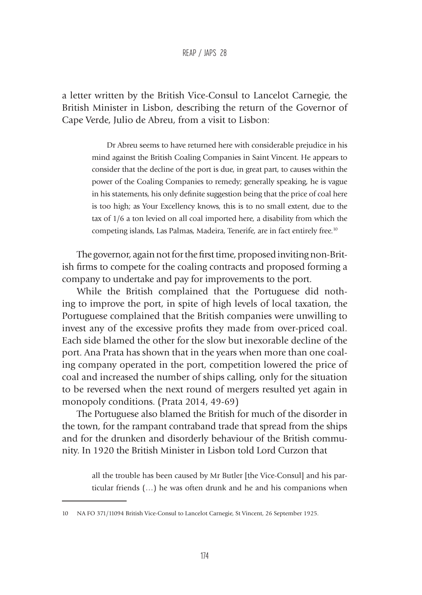a letter written by the British Vice-Consul to Lancelot Carnegie, the British Minister in Lisbon, describing the return of the Governor of Cape Verde, Julio de Abreu, from a visit to Lisbon:

> Dr Abreu seems to have returned here with considerable prejudice in his mind against the British Coaling Companies in Saint Vincent. He appears to consider that the decline of the port is due, in great part, to causes within the power of the Coaling Companies to remedy; generally speaking, he is vague in his statements, his only definite suggestion being that the price of coal here is too high; as Your Excellency knows, this is to no small extent, due to the tax of 1/6 a ton levied on all coal imported here, a disability from which the competing islands, Las Palmas, Madeira, Tenerife, are in fact entirely free.10

The governor, again not for the first time, proposed inviting non-British firms to compete for the coaling contracts and proposed forming a company to undertake and pay for improvements to the port.

While the British complained that the Portuguese did nothing to improve the port, in spite of high levels of local taxation, the Portuguese complained that the British companies were unwilling to invest any of the excessive profits they made from over-priced coal. Each side blamed the other for the slow but inexorable decline of the port. Ana Prata has shown that in the years when more than one coaling company operated in the port, competition lowered the price of coal and increased the number of ships calling, only for the situation to be reversed when the next round of mergers resulted yet again in monopoly conditions. (Prata 2014, 49-69)

The Portuguese also blamed the British for much of the disorder in the town, for the rampant contraband trade that spread from the ships and for the drunken and disorderly behaviour of the British community. In 1920 the British Minister in Lisbon told Lord Curzon that

> all the trouble has been caused by Mr Butler [the Vice-Consul] and his particular friends (…) he was often drunk and he and his companions when

<sup>10</sup> NA FO 371/11094 British Vice-Consul to Lancelot Carnegie, St Vincent, 26 September 1925.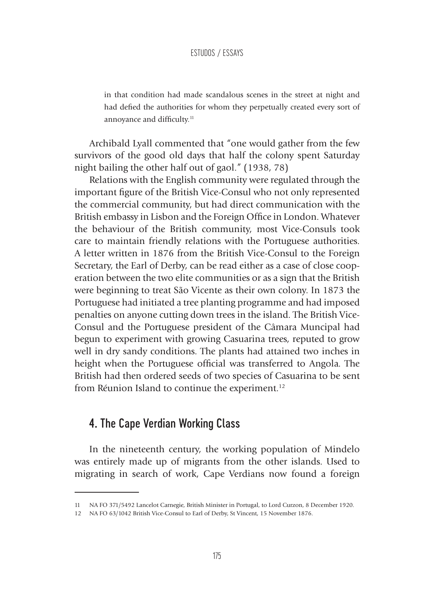in that condition had made scandalous scenes in the street at night and had defied the authorities for whom they perpetually created every sort of annoyance and difficulty.<sup>11</sup>

Archibald Lyall commented that "one would gather from the few survivors of the good old days that half the colony spent Saturday night bailing the other half out of gaol." (1938, 78)

Relations with the English community were regulated through the important figure of the British Vice-Consul who not only represented the commercial community, but had direct communication with the British embassy in Lisbon and the Foreign Office in London. Whatever the behaviour of the British community, most Vice-Consuls took care to maintain friendly relations with the Portuguese authorities. A letter written in 1876 from the British Vice-Consul to the Foreign Secretary, the Earl of Derby, can be read either as a case of close cooperation between the two elite communities or as a sign that the British were beginning to treat São Vicente as their own colony. In 1873 the Portuguese had initiated a tree planting programme and had imposed penalties on anyone cutting down trees in the island. The British Vice-Consul and the Portuguese president of the Câmara Muncipal had begun to experiment with growing Casuarina trees, reputed to grow well in dry sandy conditions. The plants had attained two inches in height when the Portuguese official was transferred to Angola. The British had then ordered seeds of two species of Casuarina to be sent from Réunion Island to continue the experiment.<sup>12</sup>

### 4. The Cape Verdian Working Class

In the nineteenth century, the working population of Mindelo was entirely made up of migrants from the other islands. Used to migrating in search of work, Cape Verdians now found a foreign

<sup>11</sup> NA FO 371/5492 Lancelot Carnegie, British Minister in Portugal, to Lord Curzon, 8 December 1920.

<sup>12</sup> NA FO 63/1042 British Vice-Consul to Earl of Derby, St Vincent, 15 November 1876.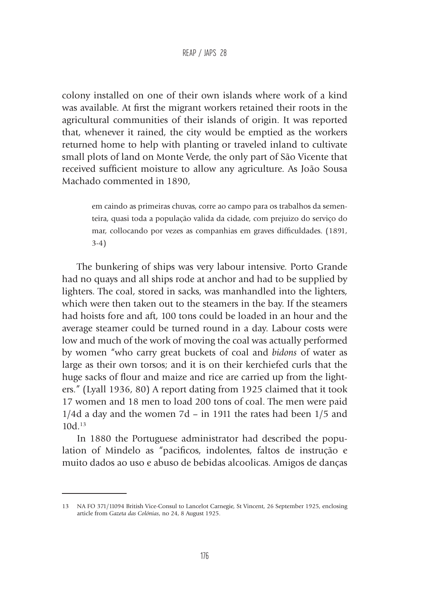colony installed on one of their own islands where work of a kind was available. At first the migrant workers retained their roots in the agricultural communities of their islands of origin. It was reported that, whenever it rained, the city would be emptied as the workers returned home to help with planting or traveled inland to cultivate small plots of land on Monte Verde, the only part of São Vicente that received sufficient moisture to allow any agriculture. As João Sousa Machado commented in 1890,

> em caindo as primeiras chuvas, corre ao campo para os trabalhos da sementeira, quasi toda a população valida da cidade, com prejuizo do serviço do mar, collocando por vezes as companhias em graves difficuldades. (1891, 3-4)

The bunkering of ships was very labour intensive. Porto Grande had no quays and all ships rode at anchor and had to be supplied by lighters. The coal, stored in sacks, was manhandled into the lighters, which were then taken out to the steamers in the bay. If the steamers had hoists fore and aft, 100 tons could be loaded in an hour and the average steamer could be turned round in a day. Labour costs were low and much of the work of moving the coal was actually performed by women "who carry great buckets of coal and *bidons* of water as large as their own torsos; and it is on their kerchiefed curls that the huge sacks of flour and maize and rice are carried up from the lighters." (Lyall 1936, 80) A report dating from 1925 claimed that it took 17 women and 18 men to load 200 tons of coal. The men were paid 1/4d a day and the women 7d – in 1911 the rates had been 1/5 and 10d.13

In 1880 the Portuguese administrator had described the population of Mindelo as "pacificos, indolentes, faltos de instrução e muito dados ao uso e abuso de bebidas alcoolicas. Amigos de danças

<sup>13</sup> NA FO 371/11094 British Vice-Consul to Lancelot Carnegie, St Vincent, 26 September 1925, enclosing article from *Gazeta das Colónias*, no 24, 8 August 1925.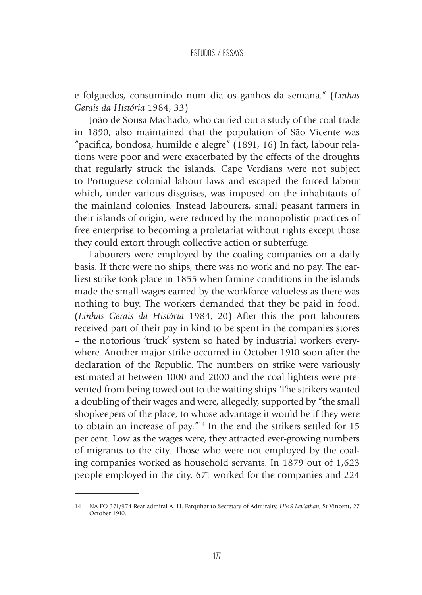e folguedos, consumindo num dia os ganhos da semana." (*Linhas Gerais da História* 1984, 33)

João de Sousa Machado, who carried out a study of the coal trade in 1890, also maintained that the population of São Vicente was "pacifica, bondosa, humilde e alegre" (1891, 16) In fact, labour relations were poor and were exacerbated by the effects of the droughts that regularly struck the islands. Cape Verdians were not subject to Portuguese colonial labour laws and escaped the forced labour which, under various disguises, was imposed on the inhabitants of the mainland colonies. Instead labourers, small peasant farmers in their islands of origin, were reduced by the monopolistic practices of free enterprise to becoming a proletariat without rights except those they could extort through collective action or subterfuge.

Labourers were employed by the coaling companies on a daily basis. If there were no ships, there was no work and no pay. The earliest strike took place in 1855 when famine conditions in the islands made the small wages earned by the workforce valueless as there was nothing to buy. The workers demanded that they be paid in food. (*Linhas Gerais da História* 1984, 20) After this the port labourers received part of their pay in kind to be spent in the companies stores – the notorious 'truck' system so hated by industrial workers everywhere. Another major strike occurred in October 1910 soon after the declaration of the Republic. The numbers on strike were variously estimated at between 1000 and 2000 and the coal lighters were prevented from being towed out to the waiting ships. The strikers wanted a doubling of their wages and were, allegedly, supported by "the small shopkeepers of the place, to whose advantage it would be if they were to obtain an increase of pay."14 In the end the strikers settled for 15 per cent. Low as the wages were, they attracted ever-growing numbers of migrants to the city. Those who were not employed by the coaling companies worked as household servants. In 1879 out of 1,623 people employed in the city, 671 worked for the companies and 224

<sup>14</sup> NA FO 371/974 Rear-admiral A. H. Farquhar to Secretary of Admiralty, *HMS Leviathan*, St Vincent, 27 October 1910.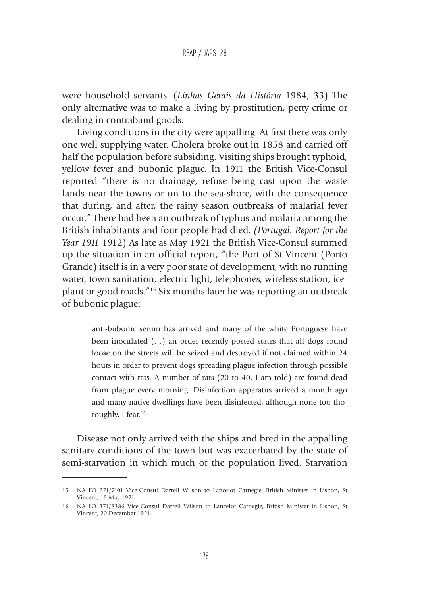were household servants. (*Linhas Gerais da História* 1984, 33) The only alternative was to make a living by prostitution, petty crime or dealing in contraband goods.

Living conditions in the city were appalling. At first there was only one well supplying water. Cholera broke out in 1858 and carried off half the population before subsiding. Visiting ships brought typhoid, yellow fever and bubonic plague. In 1911 the British Vice-Consul reported "there is no drainage, refuse being cast upon the waste lands near the towns or on to the sea-shore, with the consequence that during, and after, the rainy season outbreaks of malarial fever occur." There had been an outbreak of typhus and malaria among the British inhabitants and four people had died. *(Portugal. Report for the Year 1911* 1912) As late as May 1921 the British Vice-Consul summed up the situation in an official report, "the Port of St Vincent (Porto Grande) itself is in a very poor state of development, with no running water, town sanitation, electric light, telephones, wireless station, iceplant or good roads."15 Six months later he was reporting an outbreak of bubonic plague:

> anti-bubonic serum has arrived and many of the white Portuguese have been inoculated (…) an order recently posted states that all dogs found loose on the streets will be seized and destroyed if not claimed within 24 hours in order to prevent dogs spreading plague infection through possible contact with rats. A number of rats (20 to 40, I am told) are found dead from plague every morning. Disinfection apparatus arrived a month ago and many native dwellings have been disinfected, although none too thoroughly, I fear.<sup>16</sup>

Disease not only arrived with the ships and bred in the appalling sanitary conditions of the town but was exacerbated by the state of semi-starvation in which much of the population lived. Starvation

<sup>15</sup> NA FO 371/7101 Vice-Consul Darrell Wilson to Lancelot Carnegie, British Minister in Lisbon, St Vincent, 19 May 1921.

<sup>16</sup> NA FO 371/8386 Vice-Consul Darrell Wilson to Lancelot Carnegie, British Minister in Lisbon, St Vincent, 20 December 1921.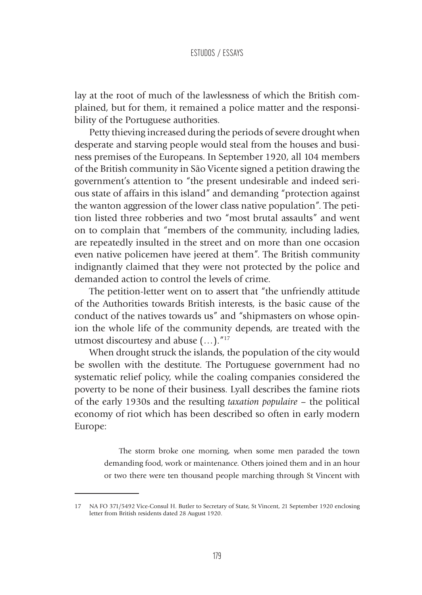lay at the root of much of the lawlessness of which the British complained, but for them, it remained a police matter and the responsibility of the Portuguese authorities.

Petty thieving increased during the periods of severe drought when desperate and starving people would steal from the houses and business premises of the Europeans. In September 1920, all 104 members of the British community in São Vicente signed a petition drawing the government's attention to "the present undesirable and indeed serious state of affairs in this island" and demanding "protection against the wanton aggression of the lower class native population". The petition listed three robberies and two "most brutal assaults" and went on to complain that "members of the community, including ladies, are repeatedly insulted in the street and on more than one occasion even native policemen have jeered at them". The British community indignantly claimed that they were not protected by the police and demanded action to control the levels of crime.

The petition-letter went on to assert that "the unfriendly attitude of the Authorities towards British interests, is the basic cause of the conduct of the natives towards us" and "shipmasters on whose opinion the whole life of the community depends, are treated with the utmost discourtesy and abuse (…)."17

When drought struck the islands, the population of the city would be swollen with the destitute. The Portuguese government had no systematic relief policy, while the coaling companies considered the poverty to be none of their business. Lyall describes the famine riots of the early 1930s and the resulting *taxation populaire* – the political economy of riot which has been described so often in early modern Europe:

> The storm broke one morning, when some men paraded the town demanding food, work or maintenance. Others joined them and in an hour or two there were ten thousand people marching through St Vincent with

<sup>17</sup> NA FO 371/5492 Vice-Consul H. Butler to Secretary of State, St Vincent, 21 September 1920 enclosing letter from British residents dated 28 August 1920.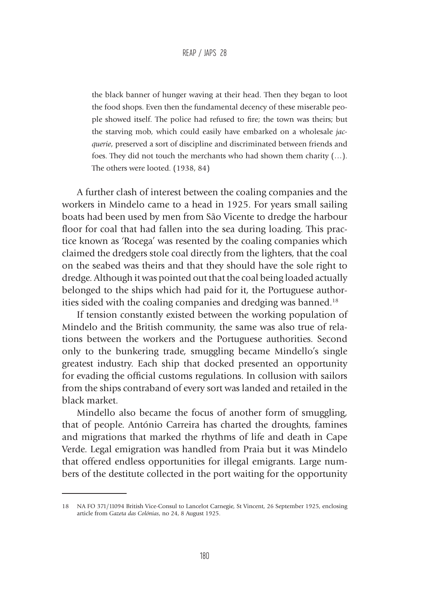the black banner of hunger waving at their head. Then they began to loot the food shops. Even then the fundamental decency of these miserable people showed itself. The police had refused to fire; the town was theirs; but the starving mob, which could easily have embarked on a wholesale *jacquerie*, preserved a sort of discipline and discriminated between friends and foes. They did not touch the merchants who had shown them charity (…). The others were looted. (1938, 84)

A further clash of interest between the coaling companies and the workers in Mindelo came to a head in 1925. For years small sailing boats had been used by men from São Vicente to dredge the harbour floor for coal that had fallen into the sea during loading. This practice known as 'Rocega' was resented by the coaling companies which claimed the dredgers stole coal directly from the lighters, that the coal on the seabed was theirs and that they should have the sole right to dredge. Although it was pointed out that the coal being loaded actually belonged to the ships which had paid for it, the Portuguese authorities sided with the coaling companies and dredging was banned.<sup>18</sup>

If tension constantly existed between the working population of Mindelo and the British community, the same was also true of relations between the workers and the Portuguese authorities. Second only to the bunkering trade, smuggling became Mindello's single greatest industry. Each ship that docked presented an opportunity for evading the official customs regulations. In collusion with sailors from the ships contraband of every sort was landed and retailed in the black market.

Mindello also became the focus of another form of smuggling, that of people. António Carreira has charted the droughts, famines and migrations that marked the rhythms of life and death in Cape Verde. Legal emigration was handled from Praia but it was Mindelo that offered endless opportunities for illegal emigrants. Large numbers of the destitute collected in the port waiting for the opportunity

<sup>18</sup> NA FO 371/11094 British Vice-Consul to Lancelot Carnegie, St Vincent, 26 September 1925, enclosing article from *Gazeta das Colónias*, no 24, 8 August 1925.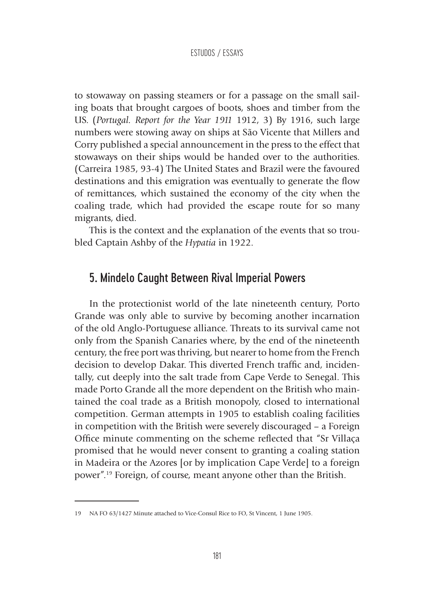to stowaway on passing steamers or for a passage on the small sailing boats that brought cargoes of boots, shoes and timber from the US. (*Portugal. Report for the Year 1911* 1912, 3) By 1916, such large numbers were stowing away on ships at São Vicente that Millers and Corry published a special announcement in the press to the effect that stowaways on their ships would be handed over to the authorities. (Carreira 1985, 93-4) The United States and Brazil were the favoured destinations and this emigration was eventually to generate the flow of remittances, which sustained the economy of the city when the coaling trade, which had provided the escape route for so many migrants, died.

This is the context and the explanation of the events that so troubled Captain Ashby of the *Hypatia* in 1922.

## 5. Mindelo Caught Between Rival Imperial Powers

In the protectionist world of the late nineteenth century, Porto Grande was only able to survive by becoming another incarnation of the old Anglo-Portuguese alliance. Threats to its survival came not only from the Spanish Canaries where, by the end of the nineteenth century, the free port was thriving, but nearer to home from the French decision to develop Dakar. This diverted French traffic and, incidentally, cut deeply into the salt trade from Cape Verde to Senegal. This made Porto Grande all the more dependent on the British who maintained the coal trade as a British monopoly, closed to international competition. German attempts in 1905 to establish coaling facilities in competition with the British were severely discouraged – a Foreign Office minute commenting on the scheme reflected that "Sr Villaça promised that he would never consent to granting a coaling station in Madeira or the Azores [or by implication Cape Verde] to a foreign power".19 Foreign, of course, meant anyone other than the British.

<sup>19</sup> NA FO 63/1427 Minute attached to Vice-Consul Rice to FO, St Vincent, 1 June 1905.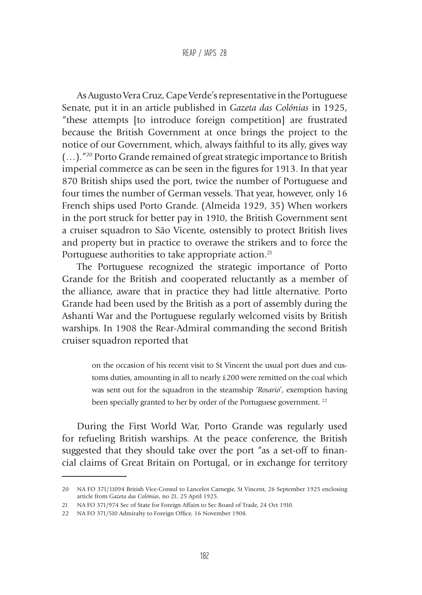As Augusto Vera Cruz, Cape Verde's representative in the Portuguese Senate, put it in an article published in *Gazeta das Colónias* in 1925, "these attempts [to introduce foreign competition] are frustrated because the British Government at once brings the project to the notice of our Government, which, always faithful to its ally, gives way (…)."20 Porto Grande remained of great strategic importance to British imperial commerce as can be seen in the figures for 1913. In that year 870 British ships used the port, twice the number of Portuguese and four times the number of German vessels. That year, however, only 16 French ships used Porto Grande. (Almeida 1929, 35) When workers in the port struck for better pay in 1910, the British Government sent a cruiser squadron to São Vicente, ostensibly to protect British lives and property but in practice to overawe the strikers and to force the Portuguese authorities to take appropriate action.<sup>21</sup>

The Portuguese recognized the strategic importance of Porto Grande for the British and cooperated reluctantly as a member of the alliance, aware that in practice they had little alternative. Porto Grande had been used by the British as a port of assembly during the Ashanti War and the Portuguese regularly welcomed visits by British warships. In 1908 the Rear-Admiral commanding the second British cruiser squadron reported that

> on the occasion of his recent visit to St Vincent the usual port dues and customs duties, amounting in all to nearly £200 were remitted on the coal which was sent out for the squadron in the steamship '*Rosario*', exemption having been specially granted to her by order of the Portuguese government.<sup>22</sup>

During the First World War, Porto Grande was regularly used for refueling British warships. At the peace conference, the British suggested that they should take over the port "as a set-off to financial claims of Great Britain on Portugal, or in exchange for territory

<sup>20</sup> NA FO 371/11094 British Vice-Consul to Lancelot Carnegie, St Vincent, 26 September 1925 enclosing article from *Gazeta das Colónias*, no 21, 25 April 1925.

<sup>21</sup> NA FO 371/974 Sec of State for Foreign Affairs to Sec Board of Trade, 24 Oct 1910.

<sup>22</sup> NA FO 371/510 Admiralty to Foreign Office, 16 November 1908.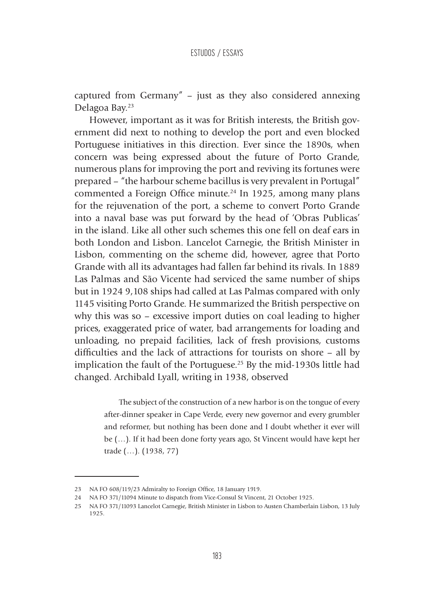captured from Germany" – just as they also considered annexing Delagoa Bay.23

However, important as it was for British interests, the British government did next to nothing to develop the port and even blocked Portuguese initiatives in this direction. Ever since the 1890s, when concern was being expressed about the future of Porto Grande, numerous plans for improving the port and reviving its fortunes were prepared – "the harbour scheme bacillus is very prevalent in Portugal" commented a Foreign Office minute.<sup>24</sup> In 1925, among many plans for the rejuvenation of the port, a scheme to convert Porto Grande into a naval base was put forward by the head of 'Obras Publicas' in the island. Like all other such schemes this one fell on deaf ears in both London and Lisbon. Lancelot Carnegie, the British Minister in Lisbon, commenting on the scheme did, however, agree that Porto Grande with all its advantages had fallen far behind its rivals. In 1889 Las Palmas and São Vicente had serviced the same number of ships but in 1924 9,108 ships had called at Las Palmas compared with only 1145 visiting Porto Grande. He summarized the British perspective on why this was so – excessive import duties on coal leading to higher prices, exaggerated price of water, bad arrangements for loading and unloading, no prepaid facilities, lack of fresh provisions, customs difficulties and the lack of attractions for tourists on shore – all by implication the fault of the Portuguese.25 By the mid-1930s little had changed. Archibald Lyall, writing in 1938, observed

> The subject of the construction of a new harbor is on the tongue of every after-dinner speaker in Cape Verde, every new governor and every grumbler and reformer, but nothing has been done and I doubt whether it ever will be (…). If it had been done forty years ago, St Vincent would have kept her trade (…). (1938, 77)

<sup>23</sup> NA FO 608/119/23 Admiralty to Foreign Office, 18 January 1919.

<sup>24</sup> NA FO 371/11094 Minute to dispatch from Vice-Consul St Vincent, 21 October 1925.

<sup>25</sup> NA FO 371/11093 Lancelot Carnegie, British Minister in Lisbon to Austen Chamberlain Lisbon, 13 July 1925.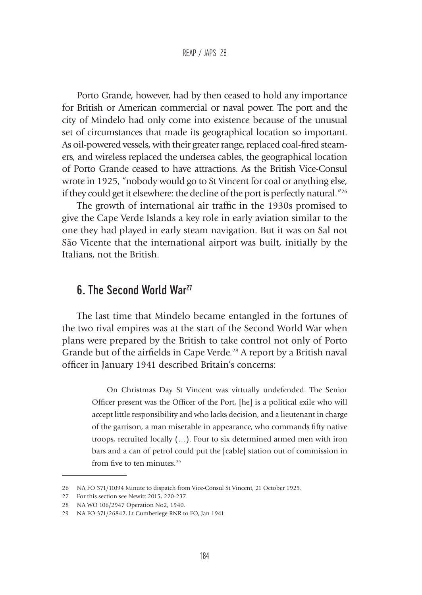Porto Grande, however, had by then ceased to hold any importance for British or American commercial or naval power. The port and the city of Mindelo had only come into existence because of the unusual set of circumstances that made its geographical location so important. As oil-powered vessels, with their greater range, replaced coal-fired steamers, and wireless replaced the undersea cables, the geographical location of Porto Grande ceased to have attractions. As the British Vice-Consul wrote in 1925, "nobody would go to St Vincent for coal or anything else, if they could get it elsewhere: the decline of the port is perfectly natural."26

The growth of international air traffic in the 1930s promised to give the Cape Verde Islands a key role in early aviation similar to the one they had played in early steam navigation. But it was on Sal not São Vicente that the international airport was built, initially by the Italians, not the British.

# 6. The Second World War27

The last time that Mindelo became entangled in the fortunes of the two rival empires was at the start of the Second World War when plans were prepared by the British to take control not only of Porto Grande but of the airfields in Cape Verde.<sup>28</sup> A report by a British naval officer in January 1941 described Britain's concerns:

> On Christmas Day St Vincent was virtually undefended. The Senior Officer present was the Officer of the Port, [he] is a political exile who will accept little responsibility and who lacks decision, and a lieutenant in charge of the garrison, a man miserable in appearance, who commands fifty native troops, recruited locally (…). Four to six determined armed men with iron bars and a can of petrol could put the [cable] station out of commission in from five to ten minutes.<sup>29</sup>

<sup>26</sup> NA FO 371/11094 Minute to dispatch from Vice-Consul St Vincent, 21 October 1925.

<sup>27</sup> For this section see Newitt 2015, 220-237.

<sup>28</sup> NA WO 106/2947 Operation No2, 1940.

<sup>29</sup> NA FO 371/26842, Lt Cumberlege RNR to FO, Jan 1941.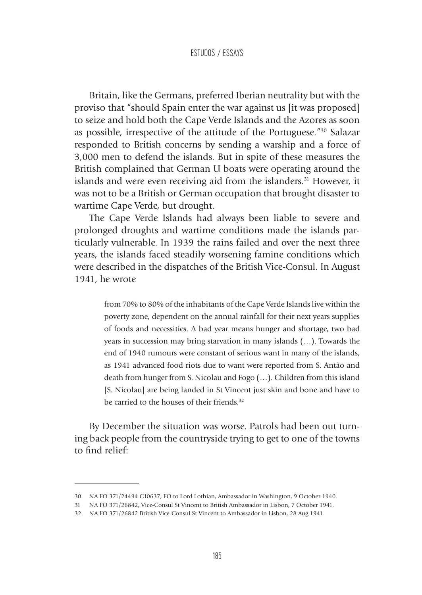Britain, like the Germans, preferred Iberian neutrality but with the proviso that "should Spain enter the war against us [it was proposed] to seize and hold both the Cape Verde Islands and the Azores as soon as possible, irrespective of the attitude of the Portuguese."30 Salazar responded to British concerns by sending a warship and a force of 3,000 men to defend the islands. But in spite of these measures the British complained that German U boats were operating around the islands and were even receiving aid from the islanders.<sup>31</sup> However, it was not to be a British or German occupation that brought disaster to wartime Cape Verde, but drought.

The Cape Verde Islands had always been liable to severe and prolonged droughts and wartime conditions made the islands particularly vulnerable. In 1939 the rains failed and over the next three years, the islands faced steadily worsening famine conditions which were described in the dispatches of the British Vice-Consul. In August 1941, he wrote

> from 70% to 80% of the inhabitants of the Cape Verde Islands live within the poverty zone, dependent on the annual rainfall for their next years supplies of foods and necessities. A bad year means hunger and shortage, two bad years in succession may bring starvation in many islands (…). Towards the end of 1940 rumours were constant of serious want in many of the islands, as 1941 advanced food riots due to want were reported from S. Antão and death from hunger from S. Nicolau and Fogo (…). Children from this island [S. Nicolau] are being landed in St Vincent just skin and bone and have to be carried to the houses of their friends.<sup>32</sup>

By December the situation was worse. Patrols had been out turning back people from the countryside trying to get to one of the towns to find relief:

<sup>30</sup> NA FO 371/24494 C10637, FO to Lord Lothian, Ambassador in Washington, 9 October 1940.

<sup>31</sup> NA FO 371/26842, Vice-Consul St Vincent to British Ambassador in Lisbon, 7 October 1941.

<sup>32</sup> NA FO 371/26842 British Vice-Consul St Vincent to Ambassador in Lisbon, 28 Aug 1941.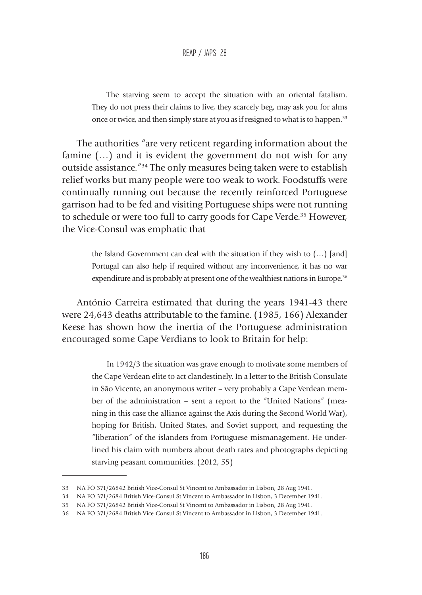The starving seem to accept the situation with an oriental fatalism. They do not press their claims to live, they scarcely beg, may ask you for alms once or twice, and then simply stare at you as if resigned to what is to happen.<sup>33</sup>

The authorities "are very reticent regarding information about the famine  $(...)$  and it is evident the government do not wish for any outside assistance."34 The only measures being taken were to establish relief works but many people were too weak to work. Foodstuffs were continually running out because the recently reinforced Portuguese garrison had to be fed and visiting Portuguese ships were not running to schedule or were too full to carry goods for Cape Verde.<sup>35</sup> However, the Vice-Consul was emphatic that

> the Island Government can deal with the situation if they wish to (…) [and] Portugal can also help if required without any inconvenience, it has no war expenditure and is probably at present one of the wealthiest nations in Europe.<sup>36</sup>

António Carreira estimated that during the years 1941-43 there were 24,643 deaths attributable to the famine. (1985, 166) Alexander Keese has shown how the inertia of the Portuguese administration encouraged some Cape Verdians to look to Britain for help:

> In 1942/3 the situation was grave enough to motivate some members of the Cape Verdean elite to act clandestinely. In a letter to the British Consulate in São Vicente, an anonymous writer – very probably a Cape Verdean member of the administration – sent a report to the "United Nations" (meaning in this case the alliance against the Axis during the Second World War), hoping for British, United States, and Soviet support, and requesting the "liberation" of the islanders from Portuguese mismanagement. He underlined his claim with numbers about death rates and photographs depicting starving peasant communities. (2012, 55)

<sup>33</sup> NA FO 371/26842 British Vice-Consul St Vincent to Ambassador in Lisbon, 28 Aug 1941.

<sup>34</sup> NA FO 371/2684 British Vice-Consul St Vincent to Ambassador in Lisbon, 3 December 1941.

<sup>35</sup> NA FO 371/26842 British Vice-Consul St Vincent to Ambassador in Lisbon, 28 Aug 1941.

<sup>36</sup> NA FO 371/2684 British Vice-Consul St Vincent to Ambassador in Lisbon, 3 December 1941.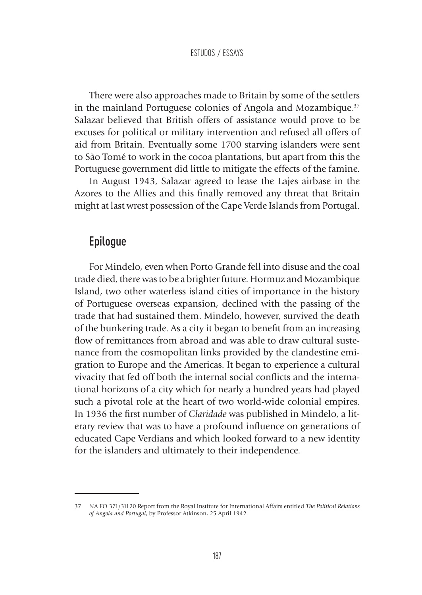There were also approaches made to Britain by some of the settlers in the mainland Portuguese colonies of Angola and Mozambique.<sup>37</sup> Salazar believed that British offers of assistance would prove to be excuses for political or military intervention and refused all offers of aid from Britain. Eventually some 1700 starving islanders were sent to São Tomé to work in the cocoa plantations, but apart from this the Portuguese government did little to mitigate the effects of the famine.

In August 1943, Salazar agreed to lease the Lajes airbase in the Azores to the Allies and this finally removed any threat that Britain might at last wrest possession of the Cape Verde Islands from Portugal.

## Epilogue

For Mindelo, even when Porto Grande fell into disuse and the coal trade died, there was to be a brighter future. Hormuz and Mozambique Island, two other waterless island cities of importance in the history of Portuguese overseas expansion, declined with the passing of the trade that had sustained them. Mindelo, however, survived the death of the bunkering trade. As a city it began to benefit from an increasing flow of remittances from abroad and was able to draw cultural sustenance from the cosmopolitan links provided by the clandestine emigration to Europe and the Americas. It began to experience a cultural vivacity that fed off both the internal social conflicts and the international horizons of a city which for nearly a hundred years had played such a pivotal role at the heart of two world-wide colonial empires. In 1936 the first number of *Claridade* was published in Mindelo, a literary review that was to have a profound influence on generations of educated Cape Verdians and which looked forward to a new identity for the islanders and ultimately to their independence.

<sup>37</sup> NA FO 371/31120 Report from the Royal Institute for International Affairs entitled *The Political Relations of Angola and Portugal*, by Professor Atkinson, 25 April 1942.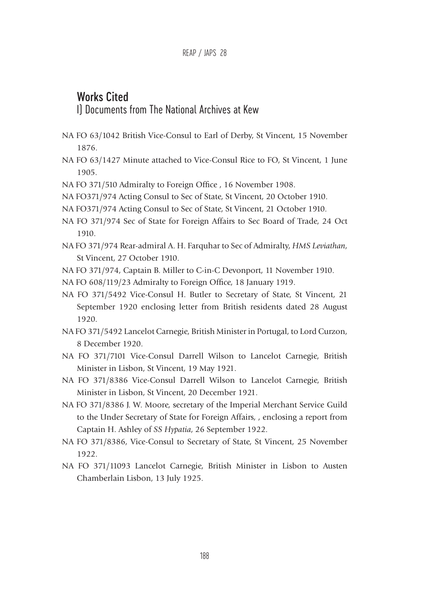# Works Cited

I) Documents from The National Archives at Kew

- NA FO 63/1042 British Vice-Consul to Earl of Derby, St Vincent, 15 November 1876.
- NA FO 63/1427 Minute attached to Vice-Consul Rice to FO, St Vincent, 1 June 1905.
- NA FO 371/510 Admiralty to Foreign Office , 16 November 1908.
- NA FO371/974 Acting Consul to Sec of State, St Vincent, 20 October 1910.
- NA FO371/974 Acting Consul to Sec of State, St Vincent, 21 October 1910.
- NA FO 371/974 Sec of State for Foreign Affairs to Sec Board of Trade, 24 Oct 1910.
- NA FO 371/974 Rear-admiral A. H. Farquhar to Sec of Admiralty, *HMS Leviathan*, St Vincent, 27 October 1910.
- NA FO 371/974, Captain B. Miller to C-in-C Devonport, 11 November 1910.
- NA FO 608/119/23 Admiralty to Foreign Office, 18 January 1919.
- NA FO 371/5492 Vice-Consul H. Butler to Secretary of State, St Vincent, 21 September 1920 enclosing letter from British residents dated 28 August 1920.
- NA FO 371/5492 Lancelot Carnegie, British Minister in Portugal, to Lord Curzon, 8 December 1920.
- NA FO 371/7101 Vice-Consul Darrell Wilson to Lancelot Carnegie, British Minister in Lisbon, St Vincent, 19 May 1921.
- NA FO 371/8386 Vice-Consul Darrell Wilson to Lancelot Carnegie, British Minister in Lisbon, St Vincent, 20 December 1921.
- NA FO 371/8386 J. W. Moore, secretary of the Imperial Merchant Service Guild to the Under Secretary of State for Foreign Affairs, , enclosing a report from Captain H. Ashley of *SS Hypatia*, 26 September 1922.
- NA FO 371/8386, Vice-Consul to Secretary of State, St Vincent, 25 November 1922.
- NA FO 371/11093 Lancelot Carnegie, British Minister in Lisbon to Austen Chamberlain Lisbon, 13 July 1925.